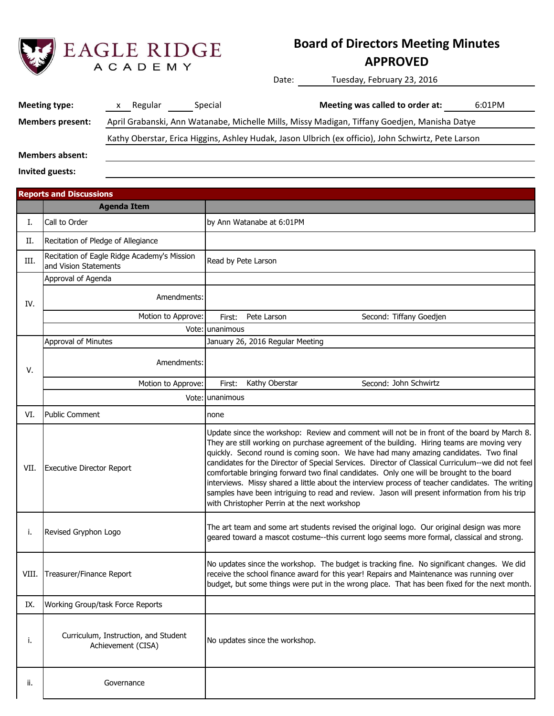

## **Board of Directors Meeting Minutes**

## **APPROVED**

Date: Tuesday, February 23, 2016

| Meeting type:                                                                                                    | Regular<br>X | Special | Meeting was called to order at:                                                                     | 6:01PM |
|------------------------------------------------------------------------------------------------------------------|--------------|---------|-----------------------------------------------------------------------------------------------------|--------|
| April Grabanski, Ann Watanabe, Michelle Mills, Missy Madigan, Tiffany Goedjen, Manisha Datye<br>Members present: |              |         |                                                                                                     |        |
|                                                                                                                  |              |         | Kathy Oberstar, Erica Higgins, Ashley Hudak, Jason Ulbrich (ex officio), John Schwirtz, Pete Larson |        |
| <b>Members absent:</b>                                                                                           |              |         |                                                                                                     |        |

**Invited guests:**

|       | <b>Reports and Discussions</b>                                       |                                                                                                                                                                                                                                                                                                                                                                                                                                                                                                                                                                                                                                                                                                                                          |
|-------|----------------------------------------------------------------------|------------------------------------------------------------------------------------------------------------------------------------------------------------------------------------------------------------------------------------------------------------------------------------------------------------------------------------------------------------------------------------------------------------------------------------------------------------------------------------------------------------------------------------------------------------------------------------------------------------------------------------------------------------------------------------------------------------------------------------------|
|       | <b>Agenda Item</b>                                                   |                                                                                                                                                                                                                                                                                                                                                                                                                                                                                                                                                                                                                                                                                                                                          |
| I.    | Call to Order                                                        | by Ann Watanabe at 6:01PM                                                                                                                                                                                                                                                                                                                                                                                                                                                                                                                                                                                                                                                                                                                |
| П.    | Recitation of Pledge of Allegiance                                   |                                                                                                                                                                                                                                                                                                                                                                                                                                                                                                                                                                                                                                                                                                                                          |
| III.  | Recitation of Eagle Ridge Academy's Mission<br>and Vision Statements | Read by Pete Larson                                                                                                                                                                                                                                                                                                                                                                                                                                                                                                                                                                                                                                                                                                                      |
|       | Approval of Agenda                                                   |                                                                                                                                                                                                                                                                                                                                                                                                                                                                                                                                                                                                                                                                                                                                          |
| IV.   | Amendments:                                                          |                                                                                                                                                                                                                                                                                                                                                                                                                                                                                                                                                                                                                                                                                                                                          |
|       | Motion to Approve:                                                   | Second: Tiffany Goedjen<br>First:<br>Pete Larson                                                                                                                                                                                                                                                                                                                                                                                                                                                                                                                                                                                                                                                                                         |
|       |                                                                      | Vote: unanimous                                                                                                                                                                                                                                                                                                                                                                                                                                                                                                                                                                                                                                                                                                                          |
|       | Approval of Minutes                                                  | January 26, 2016 Regular Meeting                                                                                                                                                                                                                                                                                                                                                                                                                                                                                                                                                                                                                                                                                                         |
| V.    | Amendments:                                                          |                                                                                                                                                                                                                                                                                                                                                                                                                                                                                                                                                                                                                                                                                                                                          |
|       | Motion to Approve:                                                   | Kathy Oberstar<br>Second: John Schwirtz<br>First:                                                                                                                                                                                                                                                                                                                                                                                                                                                                                                                                                                                                                                                                                        |
|       |                                                                      | Vote: unanimous                                                                                                                                                                                                                                                                                                                                                                                                                                                                                                                                                                                                                                                                                                                          |
| VI.   | <b>Public Comment</b>                                                | none                                                                                                                                                                                                                                                                                                                                                                                                                                                                                                                                                                                                                                                                                                                                     |
| VII.  | <b>Executive Director Report</b>                                     | Update since the workshop: Review and comment will not be in front of the board by March 8.<br>They are still working on purchase agreement of the building. Hiring teams are moving very<br>quickly. Second round is coming soon. We have had many amazing candidates. Two final<br>candidates for the Director of Special Services. Director of Classical Curriculum--we did not feel<br>comfortable bringing forward two final candidates. Only one will be brought to the board<br>interviews. Missy shared a little about the interview process of teacher candidates. The writing<br>samples have been intriguing to read and review. Jason will present information from his trip<br>with Christopher Perrin at the next workshop |
| i.    | Revised Gryphon Logo                                                 | The art team and some art students revised the original logo. Our original design was more<br>geared toward a mascot costume--this current logo seems more formal, classical and strong.                                                                                                                                                                                                                                                                                                                                                                                                                                                                                                                                                 |
| VIII. | Treasurer/Finance Report                                             | No updates since the workshop. The budget is tracking fine. No significant changes. We did<br>receive the school finance award for this year! Repairs and Maintenance was running over<br>budget, but some things were put in the wrong place. That has been fixed for the next month.                                                                                                                                                                                                                                                                                                                                                                                                                                                   |
| IX.   | Working Group/task Force Reports                                     |                                                                                                                                                                                                                                                                                                                                                                                                                                                                                                                                                                                                                                                                                                                                          |
| i.    | Curriculum, Instruction, and Student<br>Achievement (CISA)           | No updates since the workshop.                                                                                                                                                                                                                                                                                                                                                                                                                                                                                                                                                                                                                                                                                                           |
| ii.   | Governance                                                           |                                                                                                                                                                                                                                                                                                                                                                                                                                                                                                                                                                                                                                                                                                                                          |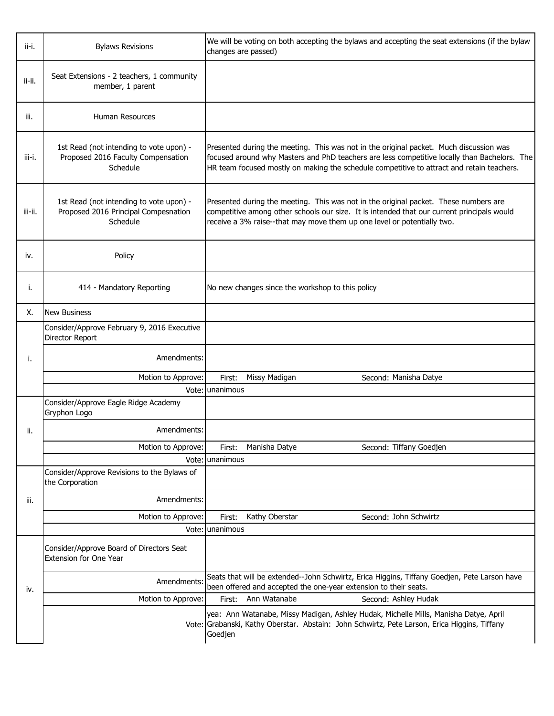| ii-i.   | <b>Bylaws Revisions</b>                                                                     | We will be voting on both accepting the bylaws and accepting the seat extensions (if the bylaw<br>changes are passed)                                                                                                                                                               |
|---------|---------------------------------------------------------------------------------------------|-------------------------------------------------------------------------------------------------------------------------------------------------------------------------------------------------------------------------------------------------------------------------------------|
| ii-ii.  | Seat Extensions - 2 teachers, 1 community<br>member, 1 parent                               |                                                                                                                                                                                                                                                                                     |
| iii.    | Human Resources                                                                             |                                                                                                                                                                                                                                                                                     |
| iii-i.  | 1st Read (not intending to vote upon) -<br>Proposed 2016 Faculty Compensation<br>Schedule   | Presented during the meeting. This was not in the original packet. Much discussion was<br>focused around why Masters and PhD teachers are less competitive locally than Bachelors. The<br>HR team focused mostly on making the schedule competitive to attract and retain teachers. |
| iii-ii. | 1st Read (not intending to vote upon) -<br>Proposed 2016 Principal Compesnation<br>Schedule | Presented during the meeting. This was not in the original packet. These numbers are<br>competitive among other schools our size. It is intended that our current principals would<br>receive a 3% raise--that may move them up one level or potentially two.                       |
| iv.     | Policy                                                                                      |                                                                                                                                                                                                                                                                                     |
| i.      | 414 - Mandatory Reporting                                                                   | No new changes since the workshop to this policy                                                                                                                                                                                                                                    |
| Х.      | <b>New Business</b>                                                                         |                                                                                                                                                                                                                                                                                     |
|         | Consider/Approve February 9, 2016 Executive<br>Director Report                              |                                                                                                                                                                                                                                                                                     |
| i.      | Amendments:                                                                                 |                                                                                                                                                                                                                                                                                     |
|         | Motion to Approve:                                                                          | Missy Madigan<br>Second: Manisha Datye<br>First:                                                                                                                                                                                                                                    |
|         |                                                                                             | Vote: unanimous                                                                                                                                                                                                                                                                     |
|         | Consider/Approve Eagle Ridge Academy<br>Gryphon Logo                                        |                                                                                                                                                                                                                                                                                     |
| ii.     | Amendments:                                                                                 |                                                                                                                                                                                                                                                                                     |
|         | Motion to Approve:                                                                          | Second: Tiffany Goedjen<br>Manisha Datye<br>First:                                                                                                                                                                                                                                  |
|         |                                                                                             | Vote: unanimous                                                                                                                                                                                                                                                                     |
|         | Consider/Approve Revisions to the Bylaws of<br>the Corporation                              |                                                                                                                                                                                                                                                                                     |
| iii.    | Amendments:                                                                                 |                                                                                                                                                                                                                                                                                     |
|         | Motion to Approve:                                                                          | Kathy Oberstar<br>Second: John Schwirtz<br>First:                                                                                                                                                                                                                                   |
|         |                                                                                             | Vote: unanimous                                                                                                                                                                                                                                                                     |
|         | Consider/Approve Board of Directors Seat<br>Extension for One Year                          |                                                                                                                                                                                                                                                                                     |
| iv.     | Amendments                                                                                  | Seats that will be extended--John Schwirtz, Erica Higgins, Tiffany Goedjen, Pete Larson have<br>been offered and accepted the one-year extension to their seats.                                                                                                                    |
|         | Motion to Approve:                                                                          | Ann Watanabe<br>Second: Ashley Hudak<br>First:                                                                                                                                                                                                                                      |
|         |                                                                                             | yea: Ann Watanabe, Missy Madigan, Ashley Hudak, Michelle Mills, Manisha Datye, April<br>Vote: Grabanski, Kathy Oberstar. Abstain: John Schwirtz, Pete Larson, Erica Higgins, Tiffany<br>Goedjen                                                                                     |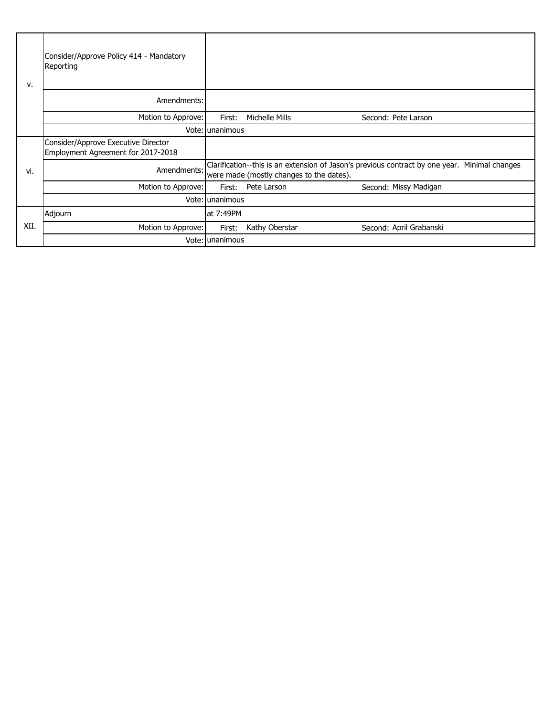| v.   | Consider/Approve Policy 414 - Mandatory<br>Reporting                      |                 |                                          |                                                                                               |
|------|---------------------------------------------------------------------------|-----------------|------------------------------------------|-----------------------------------------------------------------------------------------------|
|      | Amendments:                                                               |                 |                                          |                                                                                               |
|      | Motion to Approve:                                                        | First:          | Michelle Mills                           | Second: Pete Larson                                                                           |
|      |                                                                           | Vote: unanimous |                                          |                                                                                               |
|      | Consider/Approve Executive Director<br>Employment Agreement for 2017-2018 |                 |                                          |                                                                                               |
| vi.  | Amendments:                                                               |                 | were made (mostly changes to the dates). | Clarification--this is an extension of Jason's previous contract by one year. Minimal changes |
|      | Motion to Approve:                                                        | First:          | Pete Larson                              | Second: Missy Madigan                                                                         |
|      |                                                                           | Vote: unanimous |                                          |                                                                                               |
|      | Adjourn                                                                   | at 7:49PM       |                                          |                                                                                               |
| XII. | Motion to Approve:                                                        | First:          | Kathy Oberstar                           | Second: April Grabanski                                                                       |
|      |                                                                           | Vote: unanimous |                                          |                                                                                               |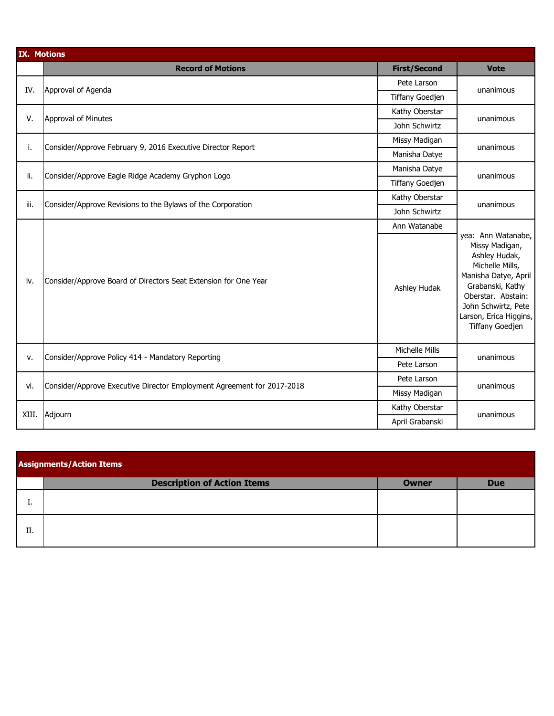| <b>IX. Motions</b> |                                                                        |                        |                                                                                                                                                                                                                       |
|--------------------|------------------------------------------------------------------------|------------------------|-----------------------------------------------------------------------------------------------------------------------------------------------------------------------------------------------------------------------|
|                    | <b>Record of Motions</b>                                               | <b>First/Second</b>    | <b>Vote</b>                                                                                                                                                                                                           |
| IV.                | Approval of Agenda                                                     | Pete Larson            | unanimous                                                                                                                                                                                                             |
|                    |                                                                        | <b>Tiffany Goedjen</b> |                                                                                                                                                                                                                       |
| V.                 | Approval of Minutes                                                    | Kathy Oberstar         | unanimous                                                                                                                                                                                                             |
|                    |                                                                        | John Schwirtz          |                                                                                                                                                                                                                       |
|                    | Consider/Approve February 9, 2016 Executive Director Report            | Missy Madigan          | unanimous                                                                                                                                                                                                             |
| i.                 |                                                                        | Manisha Datye          |                                                                                                                                                                                                                       |
| ii.                | Consider/Approve Eagle Ridge Academy Gryphon Logo                      | Manisha Datye          | unanimous                                                                                                                                                                                                             |
|                    |                                                                        | <b>Tiffany Goedjen</b> |                                                                                                                                                                                                                       |
| iii.               |                                                                        | Kathy Oberstar         | unanimous                                                                                                                                                                                                             |
|                    | Consider/Approve Revisions to the Bylaws of the Corporation            | John Schwirtz          |                                                                                                                                                                                                                       |
|                    |                                                                        | Ann Watanabe           | yea: Ann Watanabe,<br>Missy Madigan,<br>Ashley Hudak,<br>Michelle Mills,<br>Manisha Datye, April<br>Grabanski, Kathy<br>Oberstar. Abstain:<br>John Schwirtz, Pete<br>Larson, Erica Higgins,<br><b>Tiffany Goedjen</b> |
| iv.                | Consider/Approve Board of Directors Seat Extension for One Year        | Ashley Hudak           |                                                                                                                                                                                                                       |
| v.                 | Consider/Approve Policy 414 - Mandatory Reporting                      | Michelle Mills         | unanimous                                                                                                                                                                                                             |
|                    |                                                                        | Pete Larson            |                                                                                                                                                                                                                       |
| vi.                | Consider/Approve Executive Director Employment Agreement for 2017-2018 | Pete Larson            | unanimous                                                                                                                                                                                                             |
|                    |                                                                        | Missy Madigan          |                                                                                                                                                                                                                       |
| XIII.              | Adjourn                                                                | Kathy Oberstar         | unanimous                                                                                                                                                                                                             |
|                    |                                                                        | April Grabanski        |                                                                                                                                                                                                                       |

| <b>Assignments/Action Items</b> |                                    |              |            |  |
|---------------------------------|------------------------------------|--------------|------------|--|
|                                 | <b>Description of Action Items</b> | <b>Owner</b> | <b>Due</b> |  |
|                                 |                                    |              |            |  |
| II.                             |                                    |              |            |  |